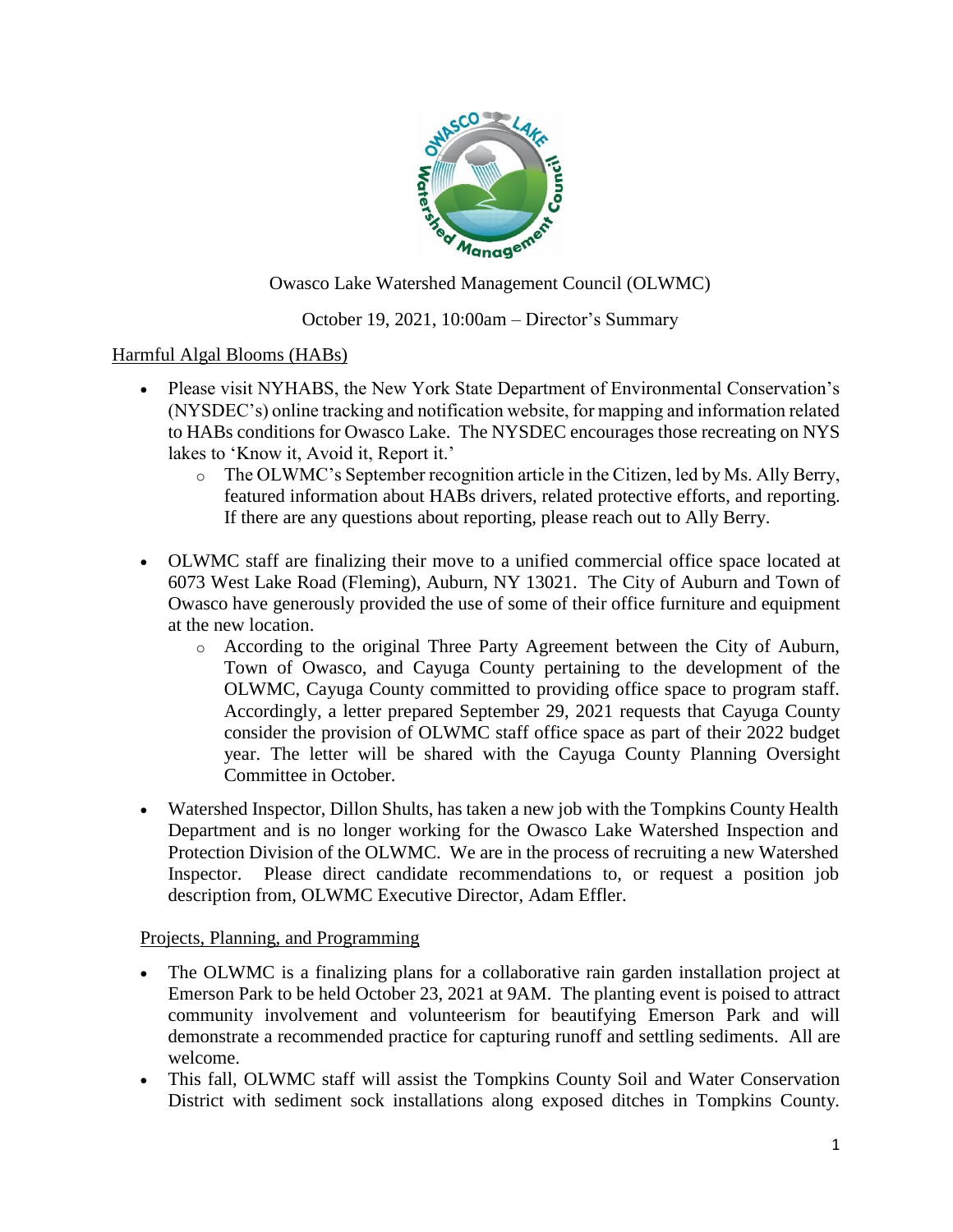

Owasco Lake Watershed Management Council (OLWMC)

# October 19, 2021, 10:00am – Director's Summary

## Harmful Algal Blooms (HABs)

- Please visit NYHABS, the New York State Department of Environmental Conservation's (NYSDEC's) online tracking and notification website, for mapping and information related to HABs conditions for Owasco Lake. The NYSDEC encourages those recreating on NYS lakes to 'Know it, Avoid it, Report it.'
	- $\circ$  The OLWMC's September recognition article in the Citizen, led by Ms. Ally Berry, featured information about HABs drivers, related protective efforts, and reporting. If there are any questions about reporting, please reach out to Ally Berry.
- OLWMC staff are finalizing their move to a unified commercial office space located at 6073 West Lake Road (Fleming), Auburn, NY 13021. The City of Auburn and Town of Owasco have generously provided the use of some of their office furniture and equipment at the new location.
	- o According to the original Three Party Agreement between the City of Auburn, Town of Owasco, and Cayuga County pertaining to the development of the OLWMC, Cayuga County committed to providing office space to program staff. Accordingly, a letter prepared September 29, 2021 requests that Cayuga County consider the provision of OLWMC staff office space as part of their 2022 budget year. The letter will be shared with the Cayuga County Planning Oversight Committee in October.
- Watershed Inspector, Dillon Shults, has taken a new job with the Tompkins County Health Department and is no longer working for the Owasco Lake Watershed Inspection and Protection Division of the OLWMC. We are in the process of recruiting a new Watershed Inspector. Please direct candidate recommendations to, or request a position job description from, OLWMC Executive Director, Adam Effler.

Projects, Planning, and Programming

- The OLWMC is a finalizing plans for a collaborative rain garden installation project at Emerson Park to be held October 23, 2021 at 9AM. The planting event is poised to attract community involvement and volunteerism for beautifying Emerson Park and will demonstrate a recommended practice for capturing runoff and settling sediments. All are welcome.
- This fall, OLWMC staff will assist the Tompkins County Soil and Water Conservation District with sediment sock installations along exposed ditches in Tompkins County.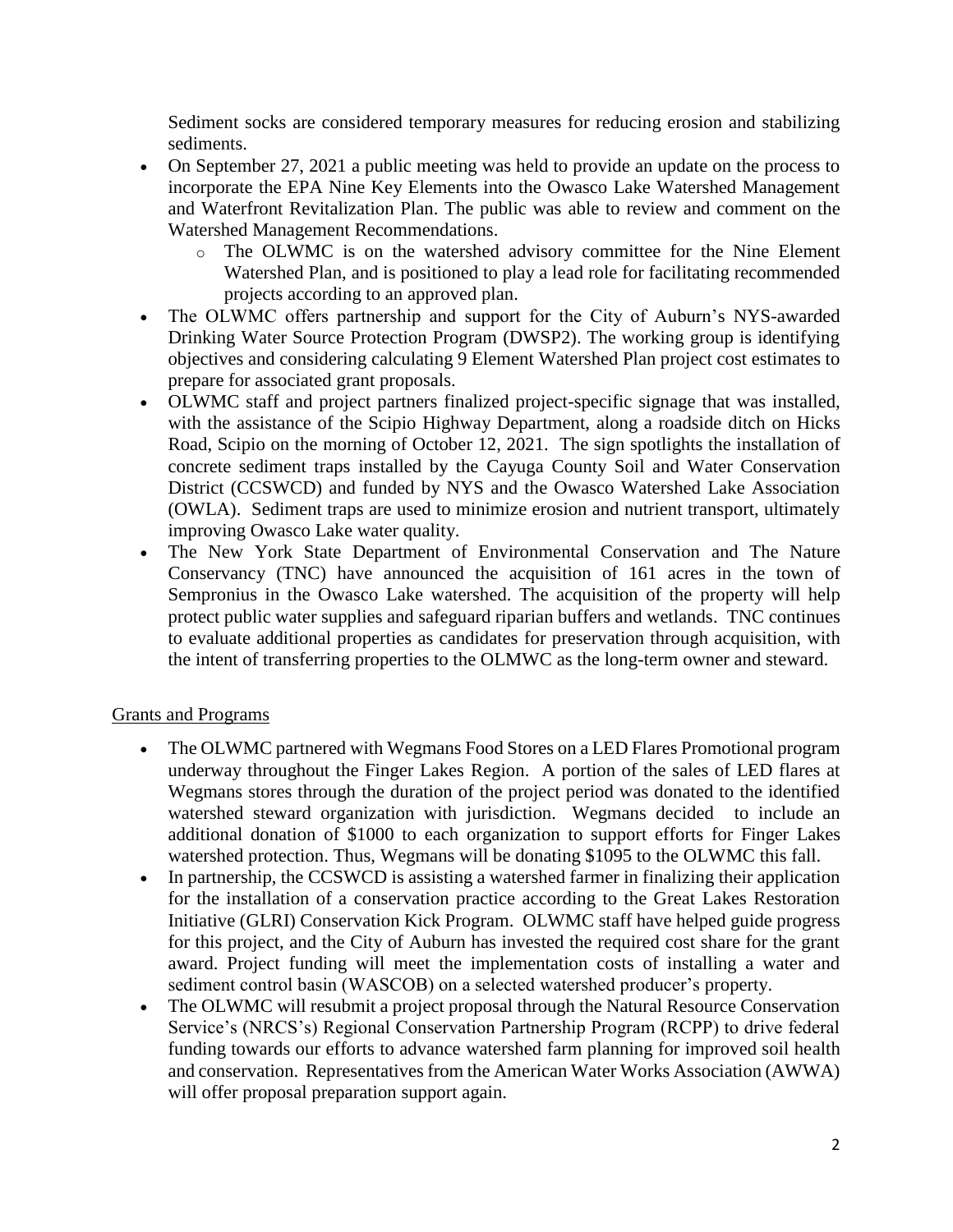Sediment socks are considered temporary measures for reducing erosion and stabilizing sediments.

- On September 27, 2021 a public meeting was held to provide an update on the process to incorporate the EPA Nine Key Elements into the Owasco Lake Watershed Management and Waterfront Revitalization Plan. The public was able to review and comment on the Watershed Management Recommendations.
	- o The OLWMC is on the watershed advisory committee for the Nine Element Watershed Plan, and is positioned to play a lead role for facilitating recommended projects according to an approved plan.
- The OLWMC offers partnership and support for the City of Auburn's NYS-awarded Drinking Water Source Protection Program (DWSP2). The working group is identifying objectives and considering calculating 9 Element Watershed Plan project cost estimates to prepare for associated grant proposals.
- OLWMC staff and project partners finalized project-specific signage that was installed, with the assistance of the Scipio Highway Department, along a roadside ditch on Hicks Road, Scipio on the morning of October 12, 2021. The sign spotlights the installation of concrete sediment traps installed by the Cayuga County Soil and Water Conservation District (CCSWCD) and funded by NYS and the Owasco Watershed Lake Association (OWLA). Sediment traps are used to minimize erosion and nutrient transport, ultimately improving Owasco Lake water quality.
- The New York State Department of Environmental Conservation and The Nature Conservancy (TNC) have announced the acquisition of 161 acres in the town of Sempronius in the Owasco Lake watershed. The acquisition of the property will help protect public water supplies and safeguard riparian buffers and wetlands. TNC continues to evaluate additional properties as candidates for preservation through acquisition, with the intent of transferring properties to the OLMWC as the long-term owner and steward.

# Grants and Programs

- The OLWMC partnered with Wegmans Food Stores on a LED Flares Promotional program underway throughout the Finger Lakes Region. A portion of the sales of LED flares at Wegmans stores through the duration of the project period was donated to the identified watershed steward organization with jurisdiction. Wegmans decided to include an additional donation of \$1000 to each organization to support efforts for Finger Lakes watershed protection. Thus, Wegmans will be donating \$1095 to the OLWMC this fall.
- In partnership, the CCSWCD is assisting a watershed farmer in finalizing their application for the installation of a conservation practice according to the Great Lakes Restoration Initiative (GLRI) Conservation Kick Program. OLWMC staff have helped guide progress for this project, and the City of Auburn has invested the required cost share for the grant award. Project funding will meet the implementation costs of installing a water and sediment control basin (WASCOB) on a selected watershed producer's property.
- The OLWMC will resubmit a project proposal through the Natural Resource Conservation Service's (NRCS's) Regional Conservation Partnership Program (RCPP) to drive federal funding towards our efforts to advance watershed farm planning for improved soil health and conservation. Representatives from the American Water Works Association (AWWA) will offer proposal preparation support again.